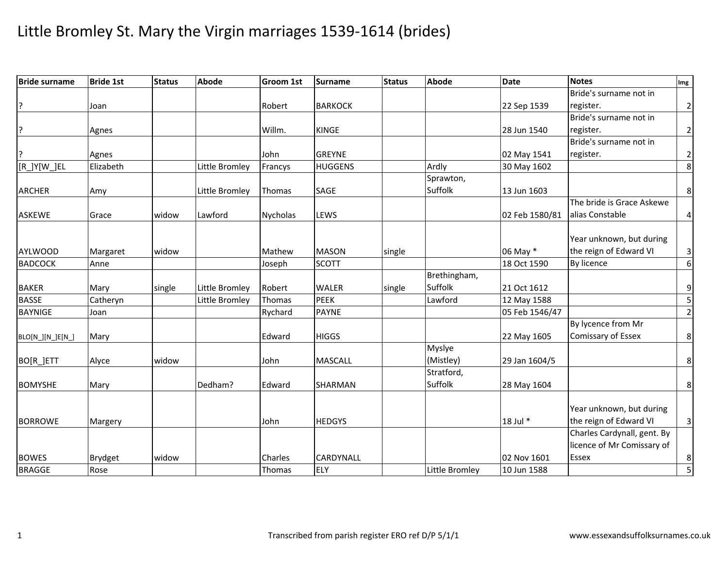| <b>Bride surname</b> | <b>Bride 1st</b> | <b>Status</b> | <b>Abode</b>   | <b>Groom 1st</b> | <b>Surname</b>   | <b>Status</b> | <b>Abode</b>   | <b>Date</b>    | <b>Notes</b>                | Img                     |
|----------------------|------------------|---------------|----------------|------------------|------------------|---------------|----------------|----------------|-----------------------------|-------------------------|
|                      |                  |               |                |                  |                  |               |                |                | Bride's surname not in      |                         |
| P,                   | Joan             |               |                | Robert           | <b>BARKOCK</b>   |               |                | 22 Sep 1539    | register.                   | $\overline{2}$          |
|                      |                  |               |                |                  |                  |               |                |                | Bride's surname not in      |                         |
| P.                   | Agnes            |               |                | Willm.           | <b>KINGE</b>     |               |                | 28 Jun 1540    | register.                   | $\overline{2}$          |
|                      |                  |               |                |                  |                  |               |                |                | Bride's surname not in      |                         |
| P.                   | Agnes            |               |                | John             | <b>GREYNE</b>    |               |                | 02 May 1541    | register.                   | $\mathbf{2}$            |
| $[R_]Y[W_]EL$        | Elizabeth        |               | Little Bromley | Francys          | <b>HUGGENS</b>   |               | Ardly          | 30 May 1602    |                             | $\,8\,$                 |
|                      |                  |               |                |                  |                  |               | Sprawton,      |                |                             |                         |
| <b>ARCHER</b>        | Amy              |               | Little Bromley | Thomas           | SAGE             |               | Suffolk        | 13 Jun 1603    |                             | 8 <sup>1</sup>          |
|                      |                  |               |                |                  |                  |               |                |                | The bride is Grace Askewe   |                         |
| <b>ASKEWE</b>        | Grace            | widow         | Lawford        | Nycholas         | <b>LEWS</b>      |               |                | 02 Feb 1580/81 | alias Constable             | $\vert 4 \vert$         |
|                      |                  |               |                |                  |                  |               |                |                |                             |                         |
|                      |                  |               |                |                  |                  |               |                |                | Year unknown, but during    |                         |
| <b>AYLWOOD</b>       | Margaret         | widow         |                | Mathew           | <b>MASON</b>     | single        |                | 06 May *       | the reign of Edward VI      | $\mathsf 3$             |
| <b>BADCOCK</b>       | Anne             |               |                | Joseph           | <b>SCOTT</b>     |               |                | 18 Oct 1590    | By licence                  | $\boldsymbol{6}$        |
|                      |                  |               |                |                  |                  |               | Brethingham,   |                |                             |                         |
| <b>BAKER</b>         | Mary             | single        | Little Bromley | Robert           | <b>WALER</b>     | single        | Suffolk        | 21 Oct 1612    |                             | $\overline{9}$          |
| <b>BASSE</b>         | Catheryn         |               | Little Bromley | Thomas           | <b>PEEK</b>      |               | Lawford        | 12 May 1588    |                             | $\overline{\mathbf{5}}$ |
| <b>BAYNIGE</b>       | Joan             |               |                | Rychard          | <b>PAYNE</b>     |               |                | 05 Feb 1546/47 |                             | $\overline{2}$          |
|                      |                  |               |                |                  |                  |               |                |                | By lycence from Mr          |                         |
| BLO[N_][N_]E[N_]     | Mary             |               |                | Edward           | <b>HIGGS</b>     |               |                | 22 May 1605    | Comissary of Essex          | 8                       |
|                      |                  |               |                |                  |                  |               | Myslye         |                |                             |                         |
| BO[R_]ETT            | Alyce            | widow         |                | John             | <b>MASCALL</b>   |               | (Mistley)      | 29 Jan 1604/5  |                             | $\bf 8$                 |
|                      |                  |               |                |                  |                  |               | Stratford,     |                |                             |                         |
| <b>BOMYSHE</b>       | Mary             |               | Dedham?        | Edward           | SHARMAN          |               | Suffolk        | 28 May 1604    |                             | 8                       |
|                      |                  |               |                |                  |                  |               |                |                |                             |                         |
|                      |                  |               |                |                  |                  |               |                |                | Year unknown, but during    |                         |
| <b>BORROWE</b>       | Margery          |               |                | John             | <b>HEDGYS</b>    |               |                | 18 Jul *       | the reign of Edward VI      | $\overline{\mathbf{3}}$ |
|                      |                  |               |                |                  |                  |               |                |                | Charles Cardynall, gent. By |                         |
|                      |                  |               |                |                  |                  |               |                |                | licence of Mr Comissary of  |                         |
| <b>BOWES</b>         | <b>Brydget</b>   | widow         |                | Charles          | <b>CARDYNALL</b> |               |                | 02 Nov 1601    | <b>Essex</b>                | 8 <sup>1</sup>          |
| <b>BRAGGE</b>        | Rose             |               |                | Thomas           | ELY              |               | Little Bromley | 10 Jun 1588    |                             | 5                       |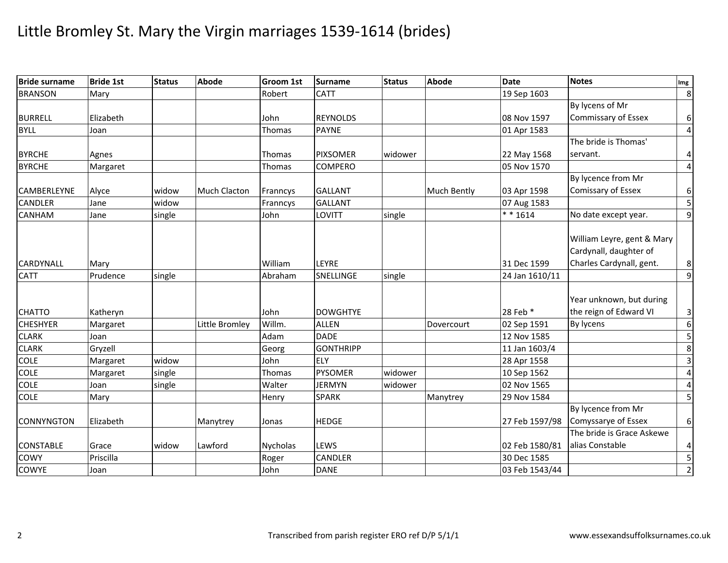| <b>Bride surname</b> | <b>Bride 1st</b> | <b>Status</b> | <b>Abode</b>        | <b>Groom 1st</b> | <b>Surname</b>   | <b>Status</b> | <b>Abode</b>       | <b>Date</b>    | <b>Notes</b>                                         | Img                     |
|----------------------|------------------|---------------|---------------------|------------------|------------------|---------------|--------------------|----------------|------------------------------------------------------|-------------------------|
| <b>BRANSON</b>       | Mary             |               |                     | Robert           | <b>CATT</b>      |               |                    | 19 Sep 1603    |                                                      | $\boldsymbol{8}$        |
|                      |                  |               |                     |                  |                  |               |                    |                | By lycens of Mr                                      |                         |
| <b>BURRELL</b>       | Elizabeth        |               |                     | John             | <b>REYNOLDS</b>  |               |                    | 08 Nov 1597    | <b>Commissary of Essex</b>                           | $6 \mid$                |
| <b>BYLL</b>          | Joan             |               |                     | Thomas           | <b>PAYNE</b>     |               |                    | 01 Apr 1583    |                                                      | 4                       |
|                      |                  |               |                     |                  |                  |               |                    |                | The bride is Thomas'                                 |                         |
| <b>BYRCHE</b>        | Agnes            |               |                     | Thomas           | <b>PIXSOMER</b>  | widower       |                    | 22 May 1568    | servant.                                             | 4                       |
| <b>BYRCHE</b>        | Margaret         |               |                     | Thomas           | <b>COMPERO</b>   |               |                    | 05 Nov 1570    |                                                      | $\overline{4}$          |
|                      |                  |               |                     |                  |                  |               |                    |                | By lycence from Mr                                   |                         |
| <b>CAMBERLEYNE</b>   | Alyce            | widow         | <b>Much Clacton</b> | Franncys         | <b>GALLANT</b>   |               | <b>Much Bently</b> | 03 Apr 1598    | Comissary of Essex                                   | 6                       |
| <b>CANDLER</b>       | Jane             | widow         |                     | Franncys         | <b>GALLANT</b>   |               |                    | 07 Aug 1583    |                                                      | $\mathsf S$             |
| <b>CANHAM</b>        | Jane             | single        |                     | John             | LOVITT           | single        |                    | $* * 1614$     | No date except year.                                 | $\boldsymbol{9}$        |
|                      |                  |               |                     |                  |                  |               |                    |                | William Leyre, gent & Mary<br>Cardynall, daughter of |                         |
| <b>CARDYNALL</b>     | Mary             |               |                     | William          | LEYRE            |               |                    | 31 Dec 1599    | Charles Cardynall, gent.                             | $\bf 8$                 |
| <b>CATT</b>          | Prudence         | single        |                     | Abraham          | SNELLINGE        | single        |                    | 24 Jan 1610/11 |                                                      | $\boldsymbol{9}$        |
| <b>CHATTO</b>        | Katheryn         |               |                     | John             | <b>DOWGHTYE</b>  |               |                    | 28 Feb *       | Year unknown, but during<br>the reign of Edward VI   | $\mathsf{3}$            |
| <b>CHESHYER</b>      | Margaret         |               | Little Bromley      | Willm.           | <b>ALLEN</b>     |               | Dovercourt         | 02 Sep 1591    | By lycens                                            | $\boldsymbol{6}$        |
| <b>CLARK</b>         | Joan             |               |                     | Adam             | <b>DADE</b>      |               |                    | 12 Nov 1585    |                                                      | $\overline{\mathbf{5}}$ |
| <b>CLARK</b>         | Gryzell          |               |                     | Georg            | <b>GONTHRIPP</b> |               |                    | 11 Jan 1603/4  |                                                      | 8                       |
| <b>COLE</b>          | Margaret         | widow         |                     | John             | <b>ELY</b>       |               |                    | 28 Apr 1558    |                                                      | $\overline{3}$          |
| <b>COLE</b>          | Margaret         | single        |                     | Thomas           | <b>PYSOMER</b>   | widower       |                    | 10 Sep 1562    |                                                      | $\overline{4}$          |
| <b>COLE</b>          | Joan             | single        |                     | Walter           | <b>JERMYN</b>    | widower       |                    | 02 Nov 1565    |                                                      | 4                       |
| <b>COLE</b>          | Mary             |               |                     | Henry            | <b>SPARK</b>     |               | Manytrey           | 29 Nov 1584    |                                                      | 5                       |
| <b>CONNYNGTON</b>    | Elizabeth        |               | Manytrey            | Jonas            | <b>HEDGE</b>     |               |                    | 27 Feb 1597/98 | By lycence from Mr<br>Comyssarye of Essex            | $6 \mid$                |
| <b>CONSTABLE</b>     | Grace            | widow         | Lawford             | Nycholas         | <b>LEWS</b>      |               |                    | 02 Feb 1580/81 | The bride is Grace Askewe<br>alias Constable         | 4                       |
| COWY                 | Priscilla        |               |                     | Roger            | CANDLER          |               |                    | 30 Dec 1585    |                                                      | 5                       |
| <b>COWYE</b>         | Joan             |               |                     | John             | <b>DANE</b>      |               |                    | 03 Feb 1543/44 |                                                      | $\overline{2}$          |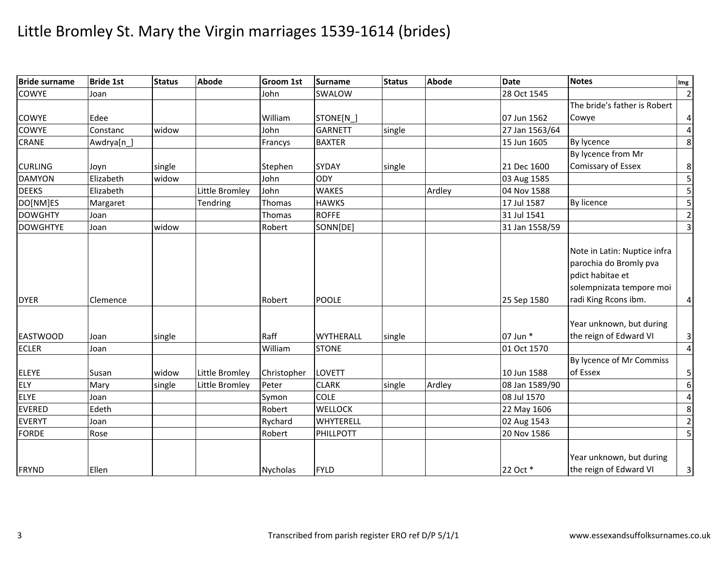| <b>Bride surname</b>            | <b>Bride 1st</b> | <b>Status</b> | <b>Abode</b>   | <b>Groom 1st</b> | Surname                          | <b>Status</b> | <b>Abode</b> | <b>Date</b>             | <b>Notes</b>                                                                                                                   | Img                         |
|---------------------------------|------------------|---------------|----------------|------------------|----------------------------------|---------------|--------------|-------------------------|--------------------------------------------------------------------------------------------------------------------------------|-----------------------------|
| <b>COWYE</b>                    | Joan             |               |                | John             | SWALOW                           |               |              | 28 Oct 1545             |                                                                                                                                | $\overline{2}$              |
|                                 |                  |               |                |                  |                                  |               |              |                         | The bride's father is Robert                                                                                                   |                             |
| <b>COWYE</b>                    | Edee             |               |                | William          | STONE[N]                         |               |              | 07 Jun 1562             | Cowye                                                                                                                          | 4                           |
| <b>COWYE</b>                    | Constanc         | widow         |                | John             | <b>GARNETT</b>                   | single        |              | 27 Jan 1563/64          |                                                                                                                                | $\overline{a}$              |
| <b>CRANE</b>                    | Awdrya[n_]       |               |                | Francys          | <b>BAXTER</b>                    |               |              | 15 Jun 1605             | By lycence                                                                                                                     | 8                           |
|                                 |                  |               |                |                  |                                  |               |              |                         | By lycence from Mr                                                                                                             |                             |
| <b>CURLING</b>                  | Joyn             | single        |                | Stephen          | <b>SYDAY</b>                     | single        |              | 21 Dec 1600             | Comissary of Essex                                                                                                             | 8                           |
| <b>DAMYON</b>                   | Elizabeth        | widow         |                | John             | <b>ODY</b>                       |               |              | 03 Aug 1585             |                                                                                                                                | $\overline{\mathbf{5}}$     |
| <b>DEEKS</b>                    | Elizabeth        |               | Little Bromley | John             | <b>WAKES</b>                     |               | Ardley       | 04 Nov 1588             |                                                                                                                                | 5                           |
| DO[NM]ES                        | Margaret         |               | Tendring       | Thomas           | <b>HAWKS</b>                     |               |              | 17 Jul 1587             | By licence                                                                                                                     | 5                           |
| <b>DOWGHTY</b>                  | Joan             |               |                | Thomas           | <b>ROFFE</b>                     |               |              | 31 Jul 1541             |                                                                                                                                | $\overline{2}$              |
| <b>DOWGHTYE</b>                 | Joan             | widow         |                | Robert           | SONN[DE]                         |               |              | 31 Jan 1558/59          |                                                                                                                                | $\mathbf{3}$                |
| <b>DYER</b>                     | Clemence         |               |                | Robert           | <b>POOLE</b>                     |               |              | 25 Sep 1580             | Note in Latin: Nuptice infra<br>parochia do Bromly pva<br>pdict habitae et<br>solempnizata tempore moi<br>radi King Rcons ibm. | 4                           |
| <b>EASTWOOD</b><br><b>ECLER</b> | Joan<br>Joan     | single        |                | Raff<br>William  | <b>WYTHERALL</b><br><b>STONE</b> | single        |              | 07 Jun *<br>01 Oct 1570 | Year unknown, but during<br>the reign of Edward VI                                                                             | $\vert$ 3<br>$\overline{4}$ |
|                                 |                  |               |                |                  |                                  |               |              |                         | By lycence of Mr Commiss                                                                                                       |                             |
| <b>ELEYE</b>                    | Susan            | widow         | Little Bromley | Christopher      | <b>LOVETT</b>                    |               |              | 10 Jun 1588             | of Essex                                                                                                                       | 5                           |
| <b>ELY</b>                      | Mary             | single        | Little Bromley | Peter            | <b>CLARK</b>                     | single        | Ardley       | 08 Jan 1589/90          |                                                                                                                                | $\boldsymbol{6}$            |
| <b>ELYE</b>                     | Joan             |               |                | Symon            | <b>COLE</b>                      |               |              | 08 Jul 1570             |                                                                                                                                | 4                           |
| <b>EVERED</b>                   | Edeth            |               |                | Robert           | <b>WELLOCK</b>                   |               |              | 22 May 1606             |                                                                                                                                | 8                           |
| <b>EVERYT</b>                   | Joan             |               |                | Rychard          | WHYTERELL                        |               |              | 02 Aug 1543             |                                                                                                                                | $\overline{2}$              |
| <b>FORDE</b>                    | Rose             |               |                | Robert           | PHILLPOTT                        |               |              | 20 Nov 1586             |                                                                                                                                | 5                           |
| <b>FRYND</b>                    | Ellen            |               |                | <b>Nycholas</b>  | FYLD                             |               |              | 22 Oct *                | Year unknown, but during<br>the reign of Edward VI                                                                             | $\overline{3}$              |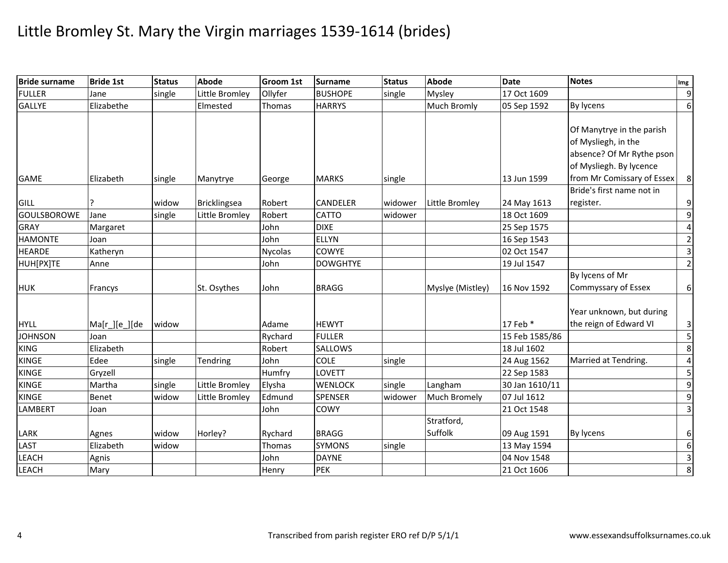| <b>Bride surname</b> | <b>Bride 1st</b> | <b>Status</b> | <b>Abode</b>   | <b>Groom 1st</b> | <b>Surname</b>  | <b>Status</b> | <b>Abode</b>        | <b>Date</b>    | <b>Notes</b>               | Img                     |
|----------------------|------------------|---------------|----------------|------------------|-----------------|---------------|---------------------|----------------|----------------------------|-------------------------|
| <b>FULLER</b>        | Jane             | single        | Little Bromley | Ollyfer          | <b>BUSHOPE</b>  | single        | Mysley              | 17 Oct 1609    |                            | 9                       |
| <b>GALLYE</b>        | Elizabethe       |               | Elmested       | Thomas           | <b>HARRYS</b>   |               | Much Bromly         | 05 Sep 1592    | By lycens                  | $\overline{6}$          |
|                      |                  |               |                |                  |                 |               |                     |                |                            |                         |
|                      |                  |               |                |                  |                 |               |                     |                | Of Manytrye in the parish  |                         |
|                      |                  |               |                |                  |                 |               |                     |                | of Mysliegh, in the        |                         |
|                      |                  |               |                |                  |                 |               |                     |                | absence? Of Mr Rythe pson  |                         |
|                      |                  |               |                |                  |                 |               |                     |                | of Mysliegh. By lycence    |                         |
| <b>GAME</b>          | Elizabeth        | single        | Manytrye       | George           | <b>MARKS</b>    | single        |                     | 13 Jun 1599    | from Mr Comissary of Essex | 8 <sup>1</sup>          |
|                      |                  |               |                |                  |                 |               |                     |                | Bride's first name not in  |                         |
| <b>GILL</b>          |                  | widow         | Bricklingsea   | Robert           | CANDELER        | widower       | Little Bromley      | 24 May 1613    | register.                  | 9                       |
| <b>GOULSBOROWE</b>   | Jane             | single        | Little Bromley | Robert           | CATTO           | widower       |                     | 18 Oct 1609    |                            | $\overline{9}$          |
| <b>GRAY</b>          | Margaret         |               |                | John             | <b>DIXE</b>     |               |                     | 25 Sep 1575    |                            | $\pmb{4}$               |
| <b>HAMONTE</b>       | Joan             |               |                | John             | <b>ELLYN</b>    |               |                     | 16 Sep 1543    |                            | $\overline{2}$          |
| <b>HEARDE</b>        | Katheryn         |               |                | <b>Nycolas</b>   | COWYE           |               |                     | 02 Oct 1547    |                            | $\overline{3}$          |
| HUH[PX]TE            | Anne             |               |                | John             | <b>DOWGHTYE</b> |               |                     | 19 Jul 1547    |                            | $\overline{2}$          |
|                      |                  |               |                |                  |                 |               |                     |                | By lycens of Mr            |                         |
| <b>HUK</b>           | Francys          |               | St. Osythes    | John             | <b>BRAGG</b>    |               | Myslye (Mistley)    | 16 Nov 1592    | Commyssary of Essex        | $6 \mid$                |
|                      |                  |               |                |                  |                 |               |                     |                |                            |                         |
|                      |                  |               |                |                  |                 |               |                     |                | Year unknown, but during   |                         |
| <b>HYLL</b>          | Ma[r_][e_][de    | widow         |                | Adame            | <b>HEWYT</b>    |               |                     | 17 Feb *       | the reign of Edward VI     | $\overline{\mathbf{3}}$ |
| <b>JOHNSON</b>       | Joan             |               |                | Rychard          | <b>FULLER</b>   |               |                     | 15 Feb 1585/86 |                            | $\overline{\mathbf{5}}$ |
| <b>KING</b>          | Elizabeth        |               |                | Robert           | <b>SALLOWS</b>  |               |                     | 18 Jul 1602    |                            | $\infty$                |
| <b>KINGE</b>         | Edee             | single        | Tendring       | John             | <b>COLE</b>     | single        |                     | 24 Aug 1562    | Married at Tendring.       | $\overline{4}$          |
| <b>KINGE</b>         | Gryzell          |               |                | Humfry           | <b>LOVETT</b>   |               |                     | 22 Sep 1583    |                            | $\overline{\mathbf{5}}$ |
| <b>KINGE</b>         | Martha           | single        | Little Bromley | Elysha           | <b>WENLOCK</b>  | single        | Langham             | 30 Jan 1610/11 |                            | $\overline{9}$          |
| <b>KINGE</b>         | Benet            | widow         | Little Bromley | Edmund           | SPENSER         | widower       | <b>Much Bromely</b> | 07 Jul 1612    |                            | $\overline{9}$          |
| <b>LAMBERT</b>       | Joan             |               |                | John             | COWY            |               |                     | 21 Oct 1548    |                            | υ                       |
|                      |                  |               |                |                  |                 |               | Stratford,          |                |                            |                         |
| LARK                 | Agnes            | widow         | Horley?        | Rychard          | <b>BRAGG</b>    |               | Suffolk             | 09 Aug 1591    | By lycens                  | $6 \mid$                |
| LAST                 | Elizabeth        | widow         |                | Thomas           | <b>SYMONS</b>   | single        |                     | 13 May 1594    |                            | $\boldsymbol{6}$        |
| <b>LEACH</b>         | Agnis            |               |                | John             | <b>DAYNE</b>    |               |                     | 04 Nov 1548    |                            | υ                       |
| <b>LEACH</b>         | Mary             |               |                | Henry            | PEK             |               |                     | 21 Oct 1606    |                            | $\infty$                |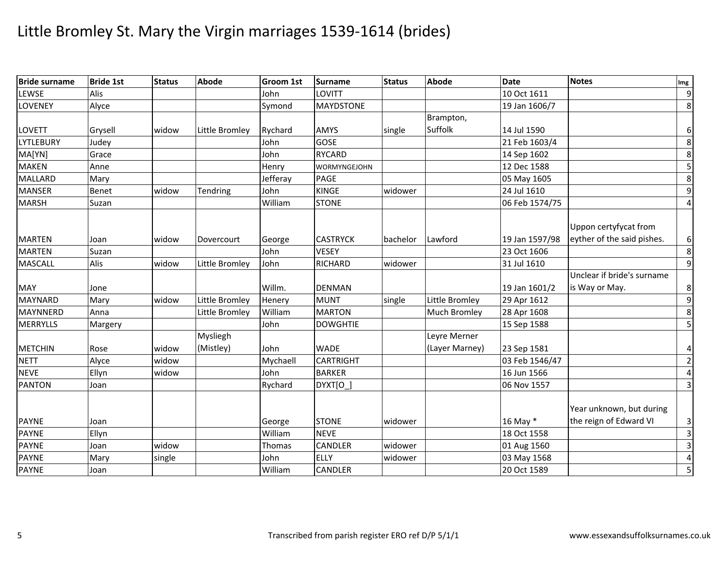| <b>Bride surname</b> | <b>Bride 1st</b> | <b>Status</b> | <b>Abode</b>   | <b>Groom 1st</b> | Surname          | <b>Status</b> | <b>Abode</b>        | <b>Date</b>    | <b>Notes</b>               | Im <sub>g</sub>         |
|----------------------|------------------|---------------|----------------|------------------|------------------|---------------|---------------------|----------------|----------------------------|-------------------------|
| LEWSE                | Alis             |               |                | John             | LOVITT           |               |                     | 10 Oct 1611    |                            | $\overline{9}$          |
| LOVENEY              | Alyce            |               |                | Symond           | <b>MAYDSTONE</b> |               |                     | 19 Jan 1606/7  |                            | 8                       |
|                      |                  |               |                |                  |                  |               | Brampton,           |                |                            |                         |
| <b>LOVETT</b>        | Grysell          | widow         | Little Bromley | Rychard          | <b>AMYS</b>      | single        | Suffolk             | 14 Jul 1590    |                            | 6                       |
| LYTLEBURY            | Judey            |               |                | John             | <b>GOSE</b>      |               |                     | 21 Feb 1603/4  |                            | 8                       |
| MA[YN]               | Grace            |               |                | John             | <b>RYCARD</b>    |               |                     | 14 Sep 1602    |                            | 8                       |
| <b>MAKEN</b>         | Anne             |               |                | Henry            | WORMYNGEJOHN     |               |                     | 12 Dec 1588    |                            | 5                       |
| MALLARD              | Mary             |               |                | Jefferay         | <b>PAGE</b>      |               |                     | 05 May 1605    |                            | 8                       |
| <b>MANSER</b>        | Benet            | widow         | Tendring       | John             | <b>KINGE</b>     | widower       |                     | 24 Jul 1610    |                            | 9                       |
| <b>MARSH</b>         | Suzan            |               |                | William          | <b>STONE</b>     |               |                     | 06 Feb 1574/75 |                            | 4                       |
|                      |                  |               |                |                  |                  |               |                     |                |                            |                         |
|                      |                  |               |                |                  |                  |               |                     |                | Uppon certyfycat from      |                         |
| <b>MARTEN</b>        | Joan             | widow         | Dovercourt     | George           | <b>CASTRYCK</b>  | bachelor      | Lawford             | 19 Jan 1597/98 | eyther of the said pishes. | $6 \mid$                |
| <b>MARTEN</b>        | Suzan            |               |                | John             | <b>VESEY</b>     |               |                     | 23 Oct 1606    |                            | $\,8\,$                 |
| <b>MASCALL</b>       | Alis             | widow         | Little Bromley | John             | <b>RICHARD</b>   | widower       |                     | 31 Jul 1610    |                            | $\overline{9}$          |
|                      |                  |               |                |                  |                  |               |                     |                | Unclear if bride's surname |                         |
| MAY                  | Jone             |               |                | Willm.           | <b>DENMAN</b>    |               |                     | 19 Jan 1601/2  | is Way or May.             | 8                       |
| <b>MAYNARD</b>       | Mary             | widow         | Little Bromley | Henery           | <b>MUNT</b>      | single        | Little Bromley      | 29 Apr 1612    |                            | $\boldsymbol{9}$        |
| MAYNNERD             | Anna             |               | Little Bromley | William          | <b>MARTON</b>    |               | <b>Much Bromley</b> | 28 Apr 1608    |                            | 8                       |
| <b>MERRYLLS</b>      | Margery          |               |                | John             | <b>DOWGHTIE</b>  |               |                     | 15 Sep 1588    |                            |                         |
|                      |                  |               | Mysliegh       |                  |                  |               | Leyre Merner        |                |                            |                         |
| <b>METCHIN</b>       | Rose             | widow         | (Mistley)      | John             | <b>WADE</b>      |               | (Layer Marney)      | 23 Sep 1581    |                            | 4                       |
| <b>NETT</b>          | Alyce            | widow         |                | Mychaell         | <b>CARTRIGHT</b> |               |                     | 03 Feb 1546/47 |                            | $\overline{2}$          |
| <b>NEVE</b>          | Ellyn            | widow         |                | John             | <b>BARKER</b>    |               |                     | 16 Jun 1566    |                            | 4                       |
| <b>PANTON</b>        | Joan             |               |                | Rychard          | DYXT[O_          |               |                     | 06 Nov 1557    |                            | $\overline{3}$          |
|                      |                  |               |                |                  |                  |               |                     |                |                            |                         |
|                      |                  |               |                |                  |                  |               |                     |                | Year unknown, but during   |                         |
| <b>PAYNE</b>         | Joan             |               |                | George           | <b>STONE</b>     | widower       |                     | 16 May *       | the reign of Edward VI     | 3                       |
| <b>PAYNE</b>         | Ellyn            |               |                | William          | <b>NEVE</b>      |               |                     | 18 Oct 1558    |                            | $\overline{\mathbf{3}}$ |
| <b>PAYNE</b>         | Joan             | widow         |                | Thomas           | <b>CANDLER</b>   | widower       |                     | 01 Aug 1560    |                            | $\overline{3}$          |
| <b>PAYNE</b>         | Mary             | single        |                | John             | <b>ELLY</b>      | widower       |                     | 03 May 1568    |                            | 4                       |
| <b>PAYNE</b>         | Joan             |               |                | William          | <b>CANDLER</b>   |               |                     | 20 Oct 1589    |                            | 5                       |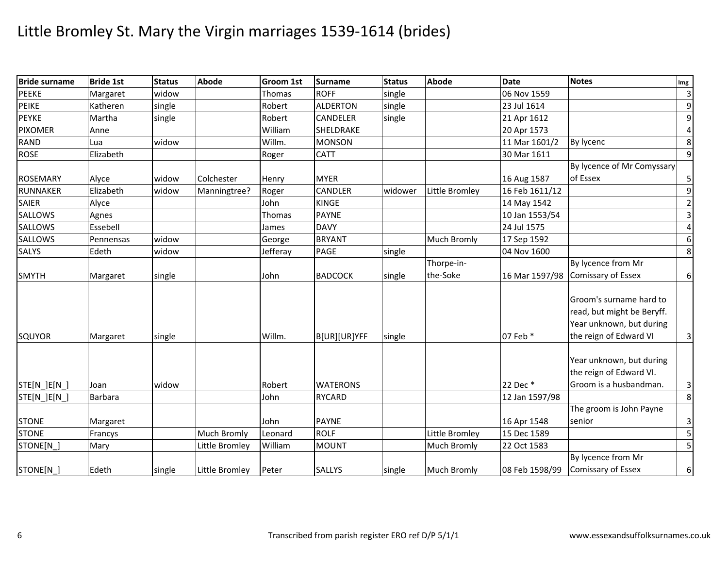| <b>Bride surname</b> | <b>Bride 1st</b> | <b>Status</b> | <b>Abode</b>   | <b>Groom 1st</b> | <b>Surname</b>  | <b>Status</b> | <b>Abode</b>       | <b>Date</b>    | <b>Notes</b>                                                                                                | Img                     |
|----------------------|------------------|---------------|----------------|------------------|-----------------|---------------|--------------------|----------------|-------------------------------------------------------------------------------------------------------------|-------------------------|
| <b>PEEKE</b>         | Margaret         | widow         |                | Thomas           | <b>ROFF</b>     | single        |                    | 06 Nov 1559    |                                                                                                             | $\overline{\mathbf{3}}$ |
| <b>PEIKE</b>         | Katheren         | single        |                | Robert           | <b>ALDERTON</b> | single        |                    | 23 Jul 1614    |                                                                                                             | $\overline{9}$          |
| <b>PEYKE</b>         | Martha           | single        |                | Robert           | CANDELER        | single        |                    | 21 Apr 1612    |                                                                                                             | $\mathsf{g}$            |
| <b>PIXOMER</b>       | Anne             |               |                | William          | SHELDRAKE       |               |                    | 20 Apr 1573    |                                                                                                             | $\overline{\mathbf{4}}$ |
| <b>RAND</b>          | Lua              | widow         |                | Willm.           | <b>MONSON</b>   |               |                    | 11 Mar 1601/2  | By lycenc                                                                                                   | $\,8\,$                 |
| <b>ROSE</b>          | Elizabeth        |               |                | Roger            | <b>CATT</b>     |               |                    | 30 Mar 1611    |                                                                                                             | $\overline{9}$          |
|                      |                  |               |                |                  |                 |               |                    |                | By lycence of Mr Comyssary                                                                                  |                         |
| <b>ROSEMARY</b>      | Alyce            | widow         | Colchester     | Henry            | <b>MYER</b>     |               |                    | 16 Aug 1587    | of Essex                                                                                                    | 5                       |
| <b>RUNNAKER</b>      | Elizabeth        | widow         | Manningtree?   | Roger            | CANDLER         | widower       | Little Bromley     | 16 Feb 1611/12 |                                                                                                             | 9                       |
| <b>SAIER</b>         | Alyce            |               |                | John             | <b>KINGE</b>    |               |                    | 14 May 1542    |                                                                                                             | $\overline{2}$          |
| <b>SALLOWS</b>       | Agnes            |               |                | Thomas           | <b>PAYNE</b>    |               |                    | 10 Jan 1553/54 |                                                                                                             | $\overline{\mathbf{3}}$ |
| <b>SALLOWS</b>       | Essebell         |               |                | James            | <b>DAVY</b>     |               |                    | 24 Jul 1575    |                                                                                                             | $\overline{\mathbf{4}}$ |
| <b>SALLOWS</b>       | Pennensas        | widow         |                | George           | <b>BRYANT</b>   |               | Much Bromly        | 17 Sep 1592    |                                                                                                             | $\boldsymbol{6}$        |
| <b>SALYS</b>         | Edeth            | widow         |                | Jefferay         | PAGE            | single        |                    | 04 Nov 1600    |                                                                                                             | $\infty$                |
|                      |                  |               |                |                  |                 |               | Thorpe-in-         |                | By lycence from Mr                                                                                          |                         |
| <b>SMYTH</b>         | Margaret         | single        |                | John             | <b>BADCOCK</b>  | single        | the-Soke           | 16 Mar 1597/98 | Comissary of Essex                                                                                          | $6 \mid$                |
| <b>SQUYOR</b>        | Margaret         | single        |                | Willm.           | B[UR][UR]YFF    | single        |                    | 07 Feb *       | Groom's surname hard to<br>read, but might be Beryff.<br>Year unknown, but during<br>the reign of Edward VI | $\frac{3}{2}$           |
| STE[N ]E[N           | Joan             | widow         |                | Robert           | <b>WATERONS</b> |               |                    | 22 Dec *       | Year unknown, but during<br>the reign of Edward VI.<br>Groom is a husbandman.                               | $\overline{\mathsf{3}}$ |
| $STE[N_.]E[N_.]$     | Barbara          |               |                | John             | <b>RYCARD</b>   |               |                    | 12 Jan 1597/98 |                                                                                                             | $\infty$                |
|                      |                  |               |                |                  |                 |               |                    |                | The groom is John Payne                                                                                     |                         |
| <b>STONE</b>         | Margaret         |               |                | John             | <b>PAYNE</b>    |               |                    | 16 Apr 1548    | senior                                                                                                      | $\overline{\mathbf{3}}$ |
| <b>STONE</b>         | Francys          |               | Much Bromly    | Leonard          | <b>ROLF</b>     |               | Little Bromley     | 15 Dec 1589    |                                                                                                             | $\overline{\mathbf{5}}$ |
| STONE[N              | Mary             |               | Little Bromley | William          | <b>MOUNT</b>    |               | Much Bromly        | 22 Oct 1583    |                                                                                                             | $\overline{\mathbf{5}}$ |
|                      |                  |               |                |                  |                 |               |                    |                | By lycence from Mr                                                                                          |                         |
| STONE[N_]            | Edeth            | single        | Little Bromley | Peter            | <b>SALLYS</b>   | single        | <b>Much Bromly</b> | 08 Feb 1598/99 | Comissary of Essex                                                                                          | $6 \mid$                |